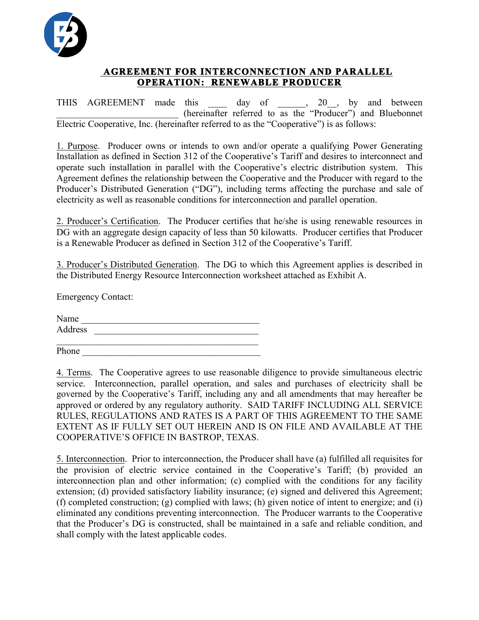

## **AGREEMENT FOR INTERCONNECTION AND PARALLEL OPERATION: RENEWABLE PRODUCER**

THIS AGREEMENT made this day of , 20, by and between \_\_\_\_\_\_\_\_\_\_\_\_\_\_\_\_\_\_\_\_\_\_\_\_\_\_ (hereinafter referred to as the "Producer") and Bluebonnet Electric Cooperative, Inc. (hereinafter referred to as the "Cooperative") is as follows:

1. Purpose. Producer owns or intends to own and/or operate a qualifying Power Generating Installation as defined in Section 312 of the Cooperative's Tariff and desires to interconnect and operate such installation in parallel with the Cooperative's electric distribution system. This Agreement defines the relationship between the Cooperative and the Producer with regard to the Producer's Distributed Generation ("DG"), including terms affecting the purchase and sale of electricity as well as reasonable conditions for interconnection and parallel operation.

2. Producer's Certification. The Producer certifies that he/she is using renewable resources in DG with an aggregate design capacity of less than 50 kilowatts. Producer certifies that Producer is a Renewable Producer as defined in Section 312 of the Cooperative's Tariff.

3. Producer's Distributed Generation. The DG to which this Agreement applies is described in the Distributed Energy Resource Interconnection worksheet attached as Exhibit A.

Emergency Contact:

Name \_\_\_\_\_\_\_\_\_\_\_\_\_\_\_\_\_\_\_\_\_\_\_\_\_\_\_\_\_\_\_\_\_\_\_\_\_\_ Address \_\_\_\_\_\_\_\_\_\_\_\_\_\_\_\_\_\_\_\_\_\_\_\_\_\_\_\_\_\_\_\_\_\_\_

Phone \_\_\_\_\_\_\_\_\_\_\_\_\_\_\_\_\_\_\_\_\_\_\_\_\_\_\_\_\_\_\_\_\_\_\_\_\_\_

4. Terms. The Cooperative agrees to use reasonable diligence to provide simultaneous electric service. Interconnection, parallel operation, and sales and purchases of electricity shall be governed by the Cooperative's Tariff, including any and all amendments that may hereafter be approved or ordered by any regulatory authority. SAID TARIFF INCLUDING ALL SERVICE RULES, REGULATIONS AND RATES IS A PART OF THIS AGREEMENT TO THE SAME EXTENT AS IF FULLY SET OUT HEREIN AND IS ON FILE AND AVAILABLE AT THE COOPERATIVE'S OFFICE IN BASTROP, TEXAS.

5. Interconnection. Prior to interconnection, the Producer shall have (a) fulfilled all requisites for the provision of electric service contained in the Cooperative's Tariff; (b) provided an interconnection plan and other information; (c) complied with the conditions for any facility extension; (d) provided satisfactory liability insurance; (e) signed and delivered this Agreement; (f) completed construction; (g) complied with laws; (h) given notice of intent to energize; and (i) eliminated any conditions preventing interconnection. The Producer warrants to the Cooperative that the Producer's DG is constructed, shall be maintained in a safe and reliable condition, and shall comply with the latest applicable codes.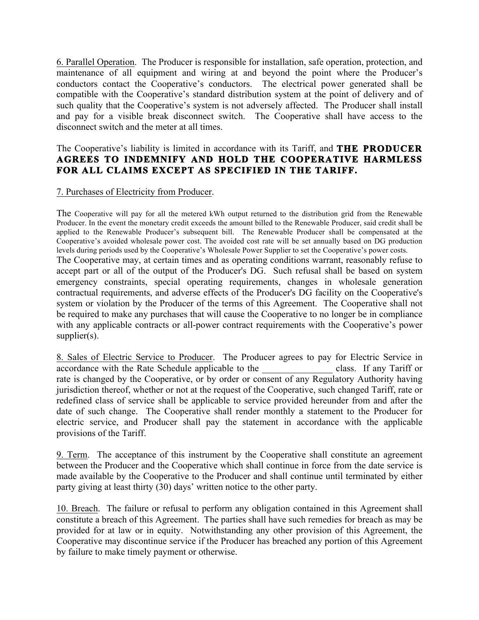6. Parallel Operation. The Producer is responsible for installation, safe operation, protection, and maintenance of all equipment and wiring at and beyond the point where the Producer's conductors contact the Cooperative's conductors. The electrical power generated shall be compatible with the Cooperative's standard distribution system at the point of delivery and of such quality that the Cooperative's system is not adversely affected. The Producer shall install and pay for a visible break disconnect switch. The Cooperative shall have access to the disconnect switch and the meter at all times.

#### The Cooperative's liability is limited in accordance with its Tariff, and **THE PRODUCER AGREES TO INDEMNIFY AND HOLD THE COOPERATIVE HARMLESS FOR ALL CLAIMS EXCEPT AS SPECIFIED IN THE TARIFF.**

#### 7. Purchases of Electricity from Producer.

The Cooperative will pay for all the metered kWh output returned to the distribution grid from the Renewable Producer. In the event the monetary credit exceeds the amount billed to the Renewable Producer, said credit shall be applied to the Renewable Producer's subsequent bill. The Renewable Producer shall be compensated at the Cooperative's avoided wholesale power cost. The avoided cost rate will be set annually based on DG production levels during periods used by the Cooperative's Wholesale Power Supplier to set the Cooperative's power costs. The Cooperative may, at certain times and as operating conditions warrant, reasonably refuse to accept part or all of the output of the Producer's DG. Such refusal shall be based on system emergency constraints, special operating requirements, changes in wholesale generation contractual requirements, and adverse effects of the Producer's DG facility on the Cooperative's system or violation by the Producer of the terms of this Agreement. The Cooperative shall not be required to make any purchases that will cause the Cooperative to no longer be in compliance with any applicable contracts or all-power contract requirements with the Cooperative's power supplier(s).

8. Sales of Electric Service to Producer. The Producer agrees to pay for Electric Service in accordance with the Rate Schedule applicable to the class. If any Tariff or rate is changed by the Cooperative, or by order or consent of any Regulatory Authority having jurisdiction thereof, whether or not at the request of the Cooperative, such changed Tariff, rate or redefined class of service shall be applicable to service provided hereunder from and after the date of such change. The Cooperative shall render monthly a statement to the Producer for electric service, and Producer shall pay the statement in accordance with the applicable provisions of the Tariff.

9. Term. The acceptance of this instrument by the Cooperative shall constitute an agreement between the Producer and the Cooperative which shall continue in force from the date service is made available by the Cooperative to the Producer and shall continue until terminated by either party giving at least thirty (30) days' written notice to the other party.

10. Breach. The failure or refusal to perform any obligation contained in this Agreement shall constitute a breach of this Agreement. The parties shall have such remedies for breach as may be provided for at law or in equity. Notwithstanding any other provision of this Agreement, the Cooperative may discontinue service if the Producer has breached any portion of this Agreement by failure to make timely payment or otherwise.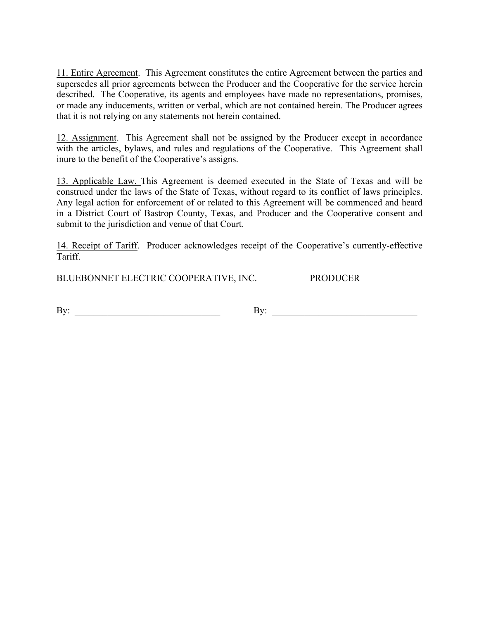11. Entire Agreement. This Agreement constitutes the entire Agreement between the parties and supersedes all prior agreements between the Producer and the Cooperative for the service herein described. The Cooperative, its agents and employees have made no representations, promises, or made any inducements, written or verbal, which are not contained herein. The Producer agrees that it is not relying on any statements not herein contained.

12. Assignment. This Agreement shall not be assigned by the Producer except in accordance with the articles, bylaws, and rules and regulations of the Cooperative. This Agreement shall inure to the benefit of the Cooperative's assigns.

13. Applicable Law. This Agreement is deemed executed in the State of Texas and will be construed under the laws of the State of Texas, without regard to its conflict of laws principles. Any legal action for enforcement of or related to this Agreement will be commenced and heard in a District Court of Bastrop County, Texas, and Producer and the Cooperative consent and submit to the jurisdiction and venue of that Court.

14. Receipt of Tariff. Producer acknowledges receipt of the Cooperative's currently-effective Tariff.

BLUEBONNET ELECTRIC COOPERATIVE, INC. PRODUCER

By: \_\_\_\_\_\_\_\_\_\_\_\_\_\_\_\_\_\_\_\_\_\_\_\_\_\_\_\_\_\_\_ By: \_\_\_\_\_\_\_\_\_\_\_\_\_\_\_\_\_\_\_\_\_\_\_\_\_\_\_\_\_\_\_